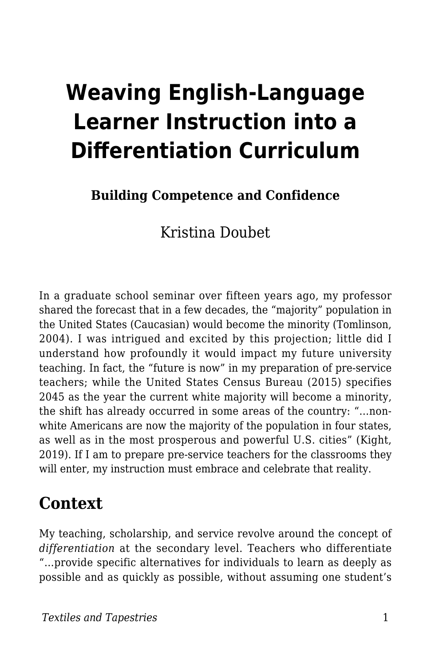# **Weaving English-Language Learner Instruction into a Differentiation Curriculum**

#### **Building Competence and Confidence**

Kristina Doubet

In a graduate school seminar over fifteen years ago, my professor shared the forecast that in a few decades, the "majority" population in the United States (Caucasian) would become the minority (Tomlinson, 2004). I was intrigued and excited by this projection; little did I understand how profoundly it would impact my future university teaching. In fact, the "future is now" in my preparation of pre-service teachers; while the United States Census Bureau (2015) specifies 2045 as the year the current white majority will become a minority, the shift has already occurred in some areas of the country: "…nonwhite Americans are now the majority of the population in four states, as well as in the most prosperous and powerful U.S. cities" (Kight, 2019). If I am to prepare pre-service teachers for the classrooms they will enter, my instruction must embrace and celebrate that reality.

### **Context**

My teaching, scholarship, and service revolve around the concept of *differentiation* at the secondary level. Teachers who differentiate "…provide specific alternatives for individuals to learn as deeply as possible and as quickly as possible, without assuming one student's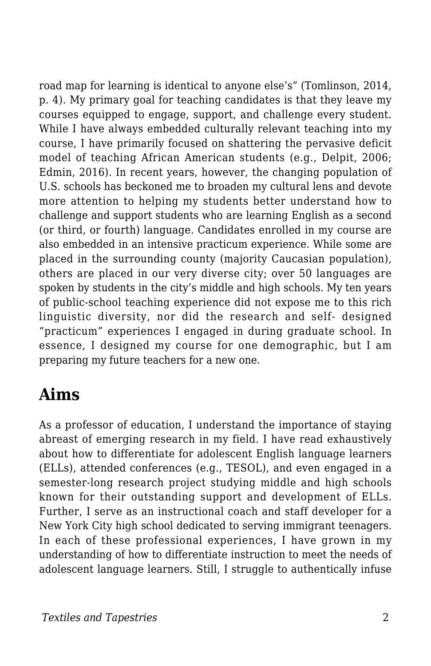road map for learning is identical to anyone else's" (Tomlinson, 2014, p. 4). My primary goal for teaching candidates is that they leave my courses equipped to engage, support, and challenge every student. While I have always embedded culturally relevant teaching into my course, I have primarily focused on shattering the pervasive deficit model of teaching African American students (e.g., Delpit, 2006; Edmin, 2016). In recent years, however, the changing population of U.S. schools has beckoned me to broaden my cultural lens and devote more attention to helping my students better understand how to challenge and support students who are learning English as a second (or third, or fourth) language. Candidates enrolled in my course are also embedded in an intensive practicum experience. While some are placed in the surrounding county (majority Caucasian population), others are placed in our very diverse city; over 50 languages are spoken by students in the city's middle and high schools. My ten years of public-school teaching experience did not expose me to this rich linguistic diversity, nor did the research and self- designed "practicum" experiences I engaged in during graduate school. In essence, I designed my course for one demographic, but I am preparing my future teachers for a new one.

### **Aims**

As a professor of education, I understand the importance of staying abreast of emerging research in my field. I have read exhaustively about how to differentiate for adolescent English language learners (ELLs), attended conferences (e.g., TESOL), and even engaged in a semester-long research project studying middle and high schools known for their outstanding support and development of ELLs. Further, I serve as an instructional coach and staff developer for a New York City high school dedicated to serving immigrant teenagers. In each of these professional experiences, I have grown in my understanding of how to differentiate instruction to meet the needs of adolescent language learners. Still, I struggle to authentically infuse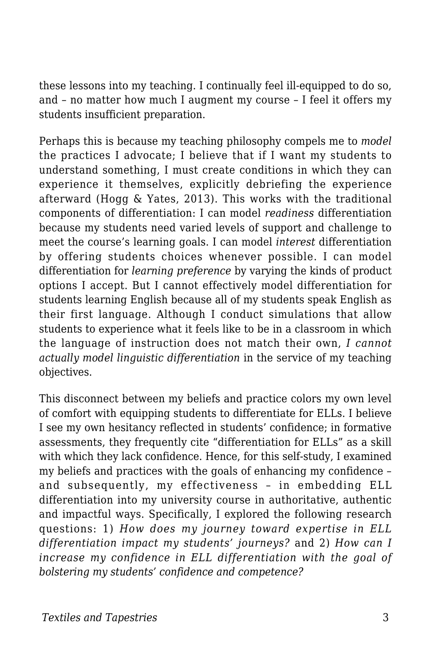these lessons into my teaching. I continually feel ill-equipped to do so, and – no matter how much I augment my course – I feel it offers my students insufficient preparation.

Perhaps this is because my teaching philosophy compels me to *model* the practices I advocate; I believe that if I want my students to understand something, I must create conditions in which they can experience it themselves, explicitly debriefing the experience afterward (Hogg & Yates, 2013). This works with the traditional components of differentiation: I can model *readiness* differentiation because my students need varied levels of support and challenge to meet the course's learning goals. I can model *interest* differentiation by offering students choices whenever possible. I can model differentiation for *learning preference* by varying the kinds of product options I accept. But I cannot effectively model differentiation for students learning English because all of my students speak English as their first language. Although I conduct simulations that allow students to experience what it feels like to be in a classroom in which the language of instruction does not match their own, *I cannot actually model linguistic differentiation* in the service of my teaching objectives.

This disconnect between my beliefs and practice colors my own level of comfort with equipping students to differentiate for ELLs. I believe I see my own hesitancy reflected in students' confidence; in formative assessments, they frequently cite "differentiation for ELLs" as a skill with which they lack confidence. Hence, for this self-study, I examined my beliefs and practices with the goals of enhancing my confidence – and subsequently, my effectiveness – in embedding ELL differentiation into my university course in authoritative, authentic and impactful ways. Specifically, I explored the following research questions: 1) *How does my journey toward expertise in ELL differentiation impact my students' journeys?* and 2) *How can I increase my confidence in ELL differentiation with the goal of bolstering my students' confidence and competence?*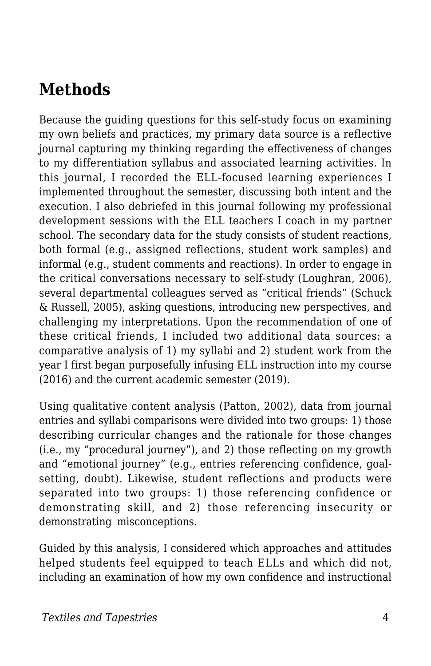## **Methods**

Because the guiding questions for this self-study focus on examining my own beliefs and practices, my primary data source is a reflective journal capturing my thinking regarding the effectiveness of changes to my differentiation syllabus and associated learning activities. In this journal, I recorded the ELL-focused learning experiences I implemented throughout the semester, discussing both intent and the execution. I also debriefed in this journal following my professional development sessions with the ELL teachers I coach in my partner school. The secondary data for the study consists of student reactions, both formal (e.g., assigned reflections, student work samples) and informal (e.g., student comments and reactions). In order to engage in the critical conversations necessary to self-study (Loughran, 2006), several departmental colleagues served as "critical friends" (Schuck & Russell, 2005), asking questions, introducing new perspectives, and challenging my interpretations. Upon the recommendation of one of these critical friends, I included two additional data sources: a comparative analysis of 1) my syllabi and 2) student work from the year I first began purposefully infusing ELL instruction into my course (2016) and the current academic semester (2019).

Using qualitative content analysis (Patton, 2002), data from journal entries and syllabi comparisons were divided into two groups: 1) those describing curricular changes and the rationale for those changes (i.e., my "procedural journey"), and 2) those reflecting on my growth and "emotional journey" (e.g., entries referencing confidence, goalsetting, doubt). Likewise, student reflections and products were separated into two groups: 1) those referencing confidence or demonstrating skill, and 2) those referencing insecurity or demonstrating misconceptions.

Guided by this analysis, I considered which approaches and attitudes helped students feel equipped to teach ELLs and which did not, including an examination of how my own confidence and instructional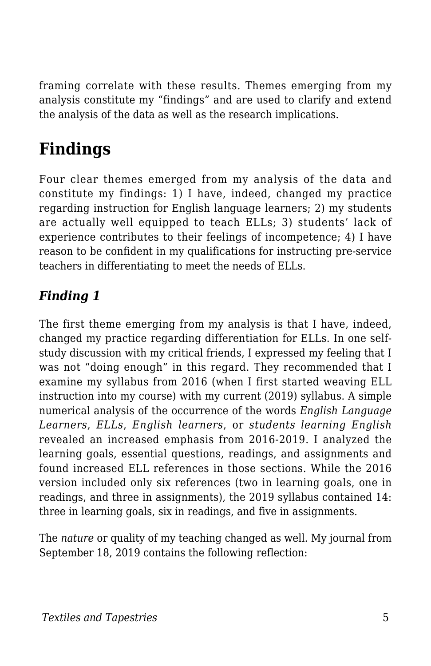framing correlate with these results. Themes emerging from my analysis constitute my "findings" and are used to clarify and extend the analysis of the data as well as the research implications.

## **Findings**

Four clear themes emerged from my analysis of the data and constitute my findings: 1) I have, indeed, changed my practice regarding instruction for English language learners; 2) my students are actually well equipped to teach ELLs; 3) students' lack of experience contributes to their feelings of incompetence; 4) I have reason to be confident in my qualifications for instructing pre-service teachers in differentiating to meet the needs of ELLs.

### *Finding 1*

The first theme emerging from my analysis is that I have, indeed, changed my practice regarding differentiation for ELLs. In one selfstudy discussion with my critical friends, I expressed my feeling that I was not "doing enough" in this regard. They recommended that I examine my syllabus from 2016 (when I first started weaving ELL instruction into my course) with my current (2019) syllabus. A simple numerical analysis of the occurrence of the words *English Language Learners*, *ELLs*, *English learners*, or *students learning English* revealed an increased emphasis from 2016-2019. I analyzed the learning goals, essential questions, readings, and assignments and found increased ELL references in those sections. While the 2016 version included only six references (two in learning goals, one in readings, and three in assignments), the 2019 syllabus contained 14: three in learning goals, six in readings, and five in assignments.

The *nature* or quality of my teaching changed as well. My journal from September 18, 2019 contains the following reflection: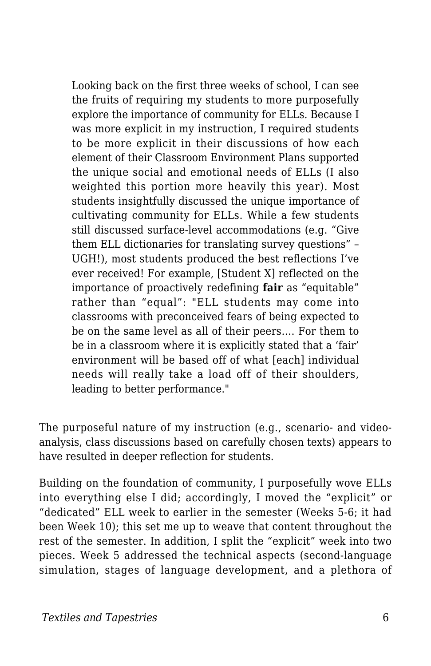Looking back on the first three weeks of school, I can see the fruits of requiring my students to more purposefully explore the importance of community for ELLs. Because I was more explicit in my instruction, I required students to be more explicit in their discussions of how each element of their Classroom Environment Plans supported the unique social and emotional needs of ELLs (I also weighted this portion more heavily this year). Most students insightfully discussed the unique importance of cultivating community for ELLs. While a few students still discussed surface-level accommodations (e.g. "Give them ELL dictionaries for translating survey questions" – UGH!), most students produced the best reflections I've ever received! For example, [Student X] reflected on the importance of proactively redefining **fair** as "equitable" rather than "equal": "ELL students may come into classrooms with preconceived fears of being expected to be on the same level as all of their peers…. For them to be in a classroom where it is explicitly stated that a 'fair' environment will be based off of what [each] individual needs will really take a load off of their shoulders, leading to better performance."

The purposeful nature of my instruction (e.g., scenario- and videoanalysis, class discussions based on carefully chosen texts) appears to have resulted in deeper reflection for students.

Building on the foundation of community, I purposefully wove ELLs into everything else I did; accordingly, I moved the "explicit" or "dedicated" ELL week to earlier in the semester (Weeks 5-6; it had been Week 10); this set me up to weave that content throughout the rest of the semester. In addition, I split the "explicit" week into two pieces. Week 5 addressed the technical aspects (second-language simulation, stages of language development, and a plethora of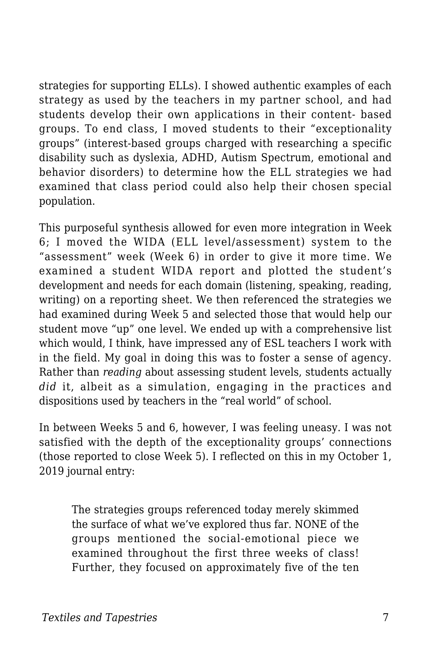strategies for supporting ELLs). I showed authentic examples of each strategy as used by the teachers in my partner school, and had students develop their own applications in their content- based groups. To end class, I moved students to their "exceptionality groups" (interest-based groups charged with researching a specific disability such as dyslexia, ADHD, Autism Spectrum, emotional and behavior disorders) to determine how the ELL strategies we had examined that class period could also help their chosen special population.

This purposeful synthesis allowed for even more integration in Week 6; I moved the WIDA (ELL level/assessment) system to the "assessment" week (Week 6) in order to give it more time. We examined a student WIDA report and plotted the student's development and needs for each domain (listening, speaking, reading, writing) on a reporting sheet. We then referenced the strategies we had examined during Week 5 and selected those that would help our student move "up" one level. We ended up with a comprehensive list which would, I think, have impressed any of ESL teachers I work with in the field. My goal in doing this was to foster a sense of agency. Rather than *reading* about assessing student levels, students actually *did* it, albeit as a simulation, engaging in the practices and dispositions used by teachers in the "real world" of school.

In between Weeks 5 and 6, however, I was feeling uneasy. I was not satisfied with the depth of the exceptionality groups' connections (those reported to close Week 5). I reflected on this in my October 1, 2019 journal entry:

The strategies groups referenced today merely skimmed the surface of what we've explored thus far. NONE of the groups mentioned the social-emotional piece we examined throughout the first three weeks of class! Further, they focused on approximately five of the ten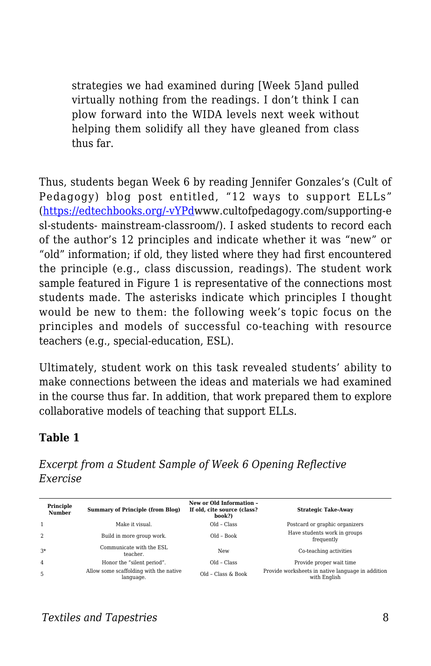strategies we had examined during [Week 5]and pulled virtually nothing from the readings. I don't think I can plow forward into the WIDA levels next week without helping them solidify all they have gleaned from class thus far.

Thus, students began Week 6 by reading Jennifer Gonzales's (Cult of Pedagogy) blog post entitled, "12 ways to support ELLs" ([https://edtechbooks.org/-vYPdw](http://www.cultofpedagogy.com/supporting-esl-students-)ww.cultofpedagogy.com/supporting-e sl-students- mainstream-classroom/). I asked students to record each of the author's 12 principles and indicate whether it was "new" or "old" information; if old, they listed where they had first encountered the principle (e.g., class discussion, readings). The student work sample featured in Figure 1 is representative of the connections most students made. The asterisks indicate which principles I thought would be new to them: the following week's topic focus on the principles and models of successful co-teaching with resource teachers (e.g., special-education, ESL).

Ultimately, student work on this task revealed students' ability to make connections between the ideas and materials we had examined in the course thus far. In addition, that work prepared them to explore collaborative models of teaching that support ELLs.

#### **Table 1**

*Excerpt from a Student Sample of Week 6 Opening Reflective Exercise*

| Principle<br>Number | Summary of Principle (from Blog)                    | New or Old Information -<br>If old. cite source (class?<br>book?) | <b>Strategic Take-Away</b>                                        |
|---------------------|-----------------------------------------------------|-------------------------------------------------------------------|-------------------------------------------------------------------|
|                     | Make it visual.                                     | $Old - Class$                                                     | Postcard or graphic organizers                                    |
| $\overline{2}$      | Build in more group work.                           | $Old - Book$                                                      | Have students work in groups<br>frequently                        |
| $3*$                | Communicate with the ESL<br>teacher.                | New                                                               | Co-teaching activities                                            |
| $\overline{4}$      | Honor the "silent period".                          | $Old - Class$                                                     | Provide proper wait time                                          |
| 5                   | Allow some scaffolding with the native<br>language. | Old - Class & Book                                                | Provide worksheets in native language in addition<br>with English |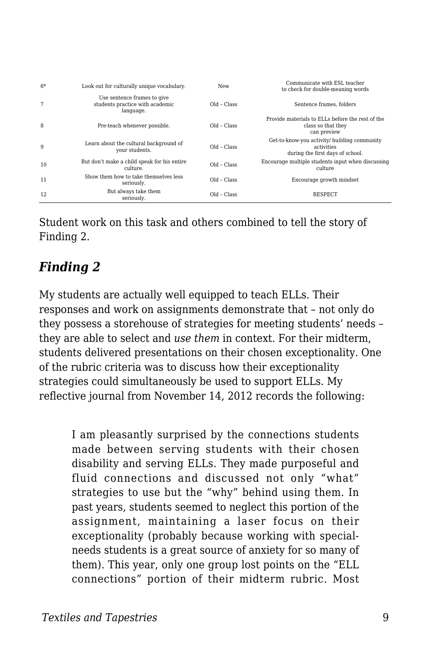| $6*$ | Look out for culturally unique vocabulary.                                  | New           | Communicate with ESL teacher<br>to check for double-meaning words                              |
|------|-----------------------------------------------------------------------------|---------------|------------------------------------------------------------------------------------------------|
| 7    | Use sentence frames to give<br>students practice with academic<br>language. | $Old - Class$ | Sentence frames, folders                                                                       |
| 8    | Pre-teach whenever possible.                                                | $Old - Class$ | Provide materials to ELLs before the rest of the<br>class so that they<br>can preview          |
| 9    | Learn about the cultural background of<br>vour students.                    | $Old - Class$ | Get-to-know-you activity/ building community<br>activities<br>during the first days of school. |
| 10   | But don't make a child speak for his entire<br>culture.                     | $Old - Class$ | Encourage multiple students input when discussing<br>culture                                   |
| 11   | Show them how to take themselves less<br>seriously.                         | $Old - Class$ | Encourage growth mindset                                                                       |
| 12   | But always take them<br>seriously.                                          | $Old - Class$ | <b>RESPECT</b>                                                                                 |

Student work on this task and others combined to tell the story of Finding 2.

#### *Finding 2*

My students are actually well equipped to teach ELLs. Their responses and work on assignments demonstrate that – not only do they possess a storehouse of strategies for meeting students' needs – they are able to select and *use them* in context. For their midterm, students delivered presentations on their chosen exceptionality. One of the rubric criteria was to discuss how their exceptionality strategies could simultaneously be used to support ELLs. My reflective journal from November 14, 2012 records the following:

I am pleasantly surprised by the connections students made between serving students with their chosen disability and serving ELLs. They made purposeful and fluid connections and discussed not only "what" strategies to use but the "why" behind using them. In past years, students seemed to neglect this portion of the assignment, maintaining a laser focus on their exceptionality (probably because working with specialneeds students is a great source of anxiety for so many of them). This year, only one group lost points on the "ELL connections" portion of their midterm rubric. Most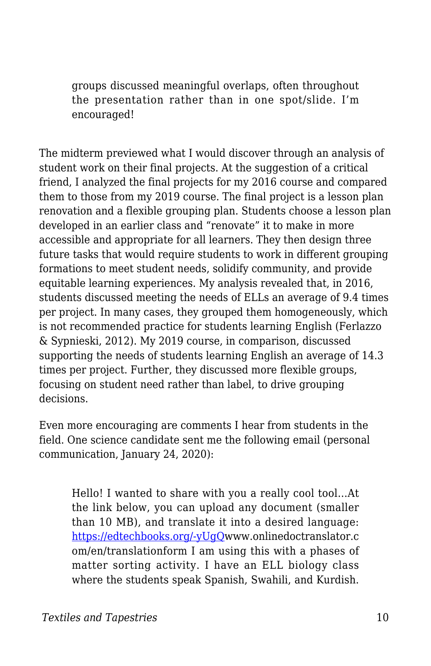groups discussed meaningful overlaps, often throughout the presentation rather than in one spot/slide. I'm encouraged!

The midterm previewed what I would discover through an analysis of student work on their final projects. At the suggestion of a critical friend, I analyzed the final projects for my 2016 course and compared them to those from my 2019 course. The final project is a lesson plan renovation and a flexible grouping plan. Students choose a lesson plan developed in an earlier class and "renovate" it to make in more accessible and appropriate for all learners. They then design three future tasks that would require students to work in different grouping formations to meet student needs, solidify community, and provide equitable learning experiences. My analysis revealed that, in 2016, students discussed meeting the needs of ELLs an average of 9.4 times per project. In many cases, they grouped them homogeneously, which is not recommended practice for students learning English (Ferlazzo & Sypnieski, 2012). My 2019 course, in comparison, discussed supporting the needs of students learning English an average of 14.3 times per project. Further, they discussed more flexible groups, focusing on student need rather than label, to drive grouping decisions.

Even more encouraging are comments I hear from students in the field. One science candidate sent me the following email (personal communication, January 24, 2020):

Hello! I wanted to share with you a really cool tool…At the link below, you can upload any document (smaller than 10 MB), and translate it into a desired language: [https://edtechbooks.org/-yUgQ](http://www.onlinedoctranslator.com/en/translationform)www.onlinedoctranslator.c om/en/translationform I am using this with a phases of matter sorting activity. I have an ELL biology class where the students speak Spanish, Swahili, and Kurdish.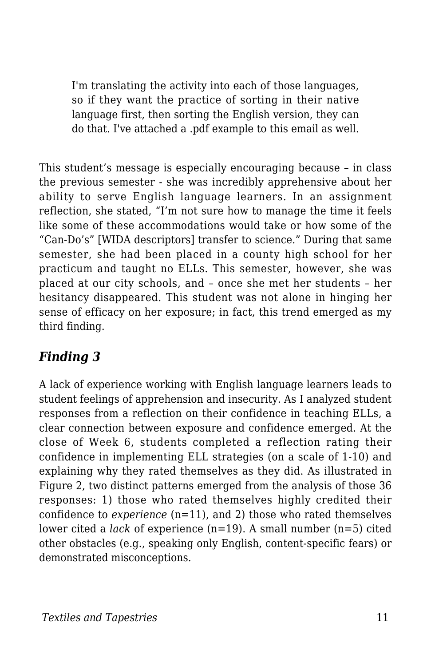I'm translating the activity into each of those languages, so if they want the practice of sorting in their native language first, then sorting the English version, they can do that. I've attached a .pdf example to this email as well.

This student's message is especially encouraging because – in class the previous semester - she was incredibly apprehensive about her ability to serve English language learners. In an assignment reflection, she stated, "I'm not sure how to manage the time it feels like some of these accommodations would take or how some of the "Can-Do's" [WIDA descriptors] transfer to science." During that same semester, she had been placed in a county high school for her practicum and taught no ELLs. This semester, however, she was placed at our city schools, and – once she met her students – her hesitancy disappeared. This student was not alone in hinging her sense of efficacy on her exposure; in fact, this trend emerged as my third finding.

### *Finding 3*

A lack of experience working with English language learners leads to student feelings of apprehension and insecurity. As I analyzed student responses from a reflection on their confidence in teaching ELLs, a clear connection between exposure and confidence emerged. At the close of Week 6, students completed a reflection rating their confidence in implementing ELL strategies (on a scale of 1-10) and explaining why they rated themselves as they did. As illustrated in Figure 2, two distinct patterns emerged from the analysis of those 36 responses: 1) those who rated themselves highly credited their confidence to *experience* (n=11), and 2) those who rated themselves lower cited a *lack* of experience (n=19). A small number (n=5) cited other obstacles (e.g., speaking only English, content-specific fears) or demonstrated misconceptions.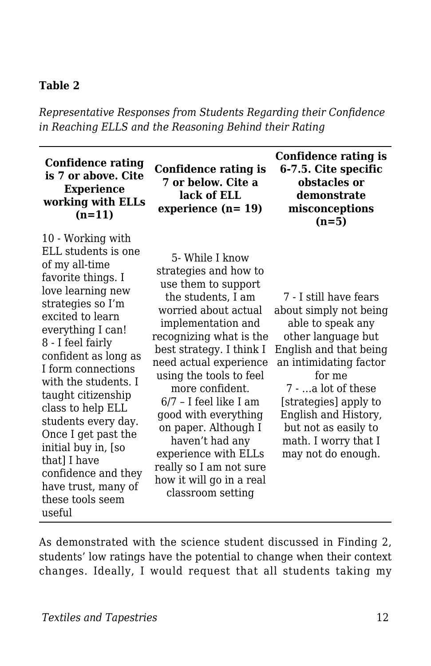#### **Table 2**

*Representative Responses from Students Regarding their Confidence in Reaching ELLS and the Reasoning Behind their Rating*

#### **Confidence rating is 7 or above. Cite Experience working with ELLs (n=11)**

10 - Working with ELL students is one of my all-time favorite things. I love learning new strategies so I'm excited to learn everything I can! 8 - I feel fairly confident as long as I form connections with the students. I taught citizenship class to help ELL students every day. Once I get past the initial buy in, [so that] I have confidence and they have trust, many of these tools seem useful

**Confidence rating is 7 or below. Cite a lack of ELL experience (n= 19)**

5- While I know strategies and how to use them to support the students, I am worried about actual implementation and recognizing what is the best strategy. I think I need actual experience using the tools to feel more confident. 6/7 – I feel like I am good with everything on paper. Although I haven't had any experience with ELLs really so I am not sure how it will go in a real classroom setting

**Confidence rating is 6-7.5. Cite specific obstacles or demonstrate misconceptions (n=5)**

7 - I still have fears about simply not being able to speak any other language but English and that being an intimidating factor for me 7 - …a lot of these [strategies] apply to English and History, but not as easily to math. I worry that I may not do enough.

As demonstrated with the science student discussed in Finding 2, students' low ratings have the potential to change when their context changes. Ideally, I would request that all students taking my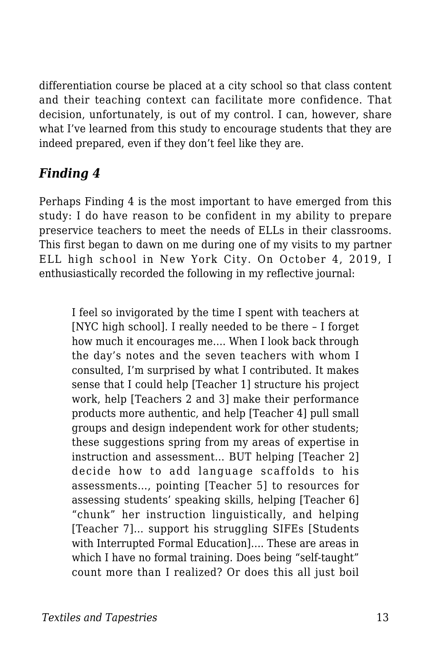differentiation course be placed at a city school so that class content and their teaching context can facilitate more confidence. That decision, unfortunately, is out of my control. I can, however, share what I've learned from this study to encourage students that they are indeed prepared, even if they don't feel like they are.

#### *Finding 4*

Perhaps Finding 4 is the most important to have emerged from this study: I do have reason to be confident in my ability to prepare preservice teachers to meet the needs of ELLs in their classrooms. This first began to dawn on me during one of my visits to my partner ELL high school in New York City. On October 4, 2019, I enthusiastically recorded the following in my reflective journal:

I feel so invigorated by the time I spent with teachers at [NYC high school]. I really needed to be there – I forget how much it encourages me…. When I look back through the day's notes and the seven teachers with whom I consulted, I'm surprised by what I contributed. It makes sense that I could help [Teacher 1] structure his project work, help [Teachers 2 and 3] make their performance products more authentic, and help [Teacher 4] pull small groups and design independent work for other students; these suggestions spring from my areas of expertise in instruction and assessment… BUT helping [Teacher 2] decide how to add language scaffolds to his assessments…, pointing [Teacher 5] to resources for assessing students' speaking skills, helping [Teacher 6] "chunk" her instruction linguistically, and helping [Teacher 7]… support his struggling SIFEs [Students with Interrupted Formal Education]…. These are areas in which I have no formal training. Does being "self-taught" count more than I realized? Or does this all just boil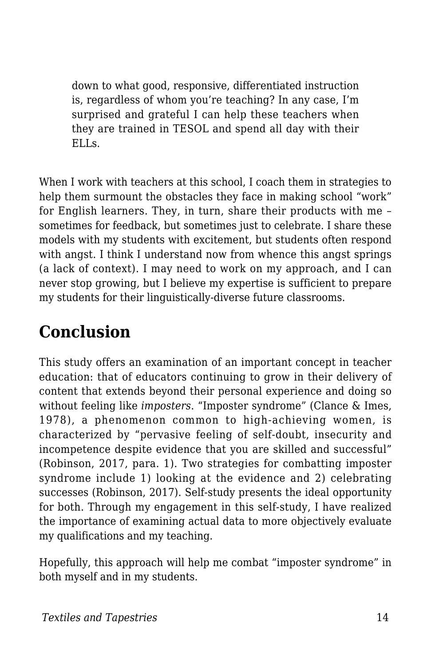down to what good, responsive, differentiated instruction is, regardless of whom you're teaching? In any case, I'm surprised and grateful I can help these teachers when they are trained in TESOL and spend all day with their ELLs.

When I work with teachers at this school, I coach them in strategies to help them surmount the obstacles they face in making school "work" for English learners. They, in turn, share their products with me – sometimes for feedback, but sometimes just to celebrate. I share these models with my students with excitement, but students often respond with angst. I think I understand now from whence this angst springs (a lack of context). I may need to work on my approach, and I can never stop growing, but I believe my expertise is sufficient to prepare my students for their linguistically-diverse future classrooms.

## **Conclusion**

This study offers an examination of an important concept in teacher education: that of educators continuing to grow in their delivery of content that extends beyond their personal experience and doing so without feeling like *imposters*. "Imposter syndrome" (Clance & Imes, 1978), a phenomenon common to high-achieving women, is characterized by "pervasive feeling of self-doubt, insecurity and incompetence despite evidence that you are skilled and successful" (Robinson, 2017, para. 1). Two strategies for combatting imposter syndrome include 1) looking at the evidence and 2) celebrating successes (Robinson, 2017). Self-study presents the ideal opportunity for both. Through my engagement in this self-study, I have realized the importance of examining actual data to more objectively evaluate my qualifications and my teaching.

Hopefully, this approach will help me combat "imposter syndrome" in both myself and in my students.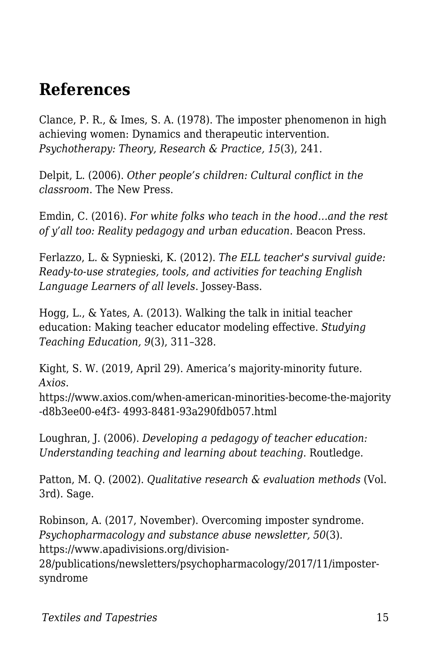### **References**

Clance, P. R., & Imes, S. A. (1978). The imposter phenomenon in high achieving women: Dynamics and therapeutic intervention. *Psychotherapy: Theory, Research & Practice, 15*(3), 241.

Delpit, L. (2006). *Other people's children: Cultural conflict in the classroom*. The New Press.

Emdin, C. (2016). *For white folks who teach in the hood…and the rest of y'all too: Reality pedagogy and urban education*. Beacon Press.

Ferlazzo, L. & Sypnieski, K. (2012). *The ELL teacher's survival guide: Ready-to-use strategies, tools, and activities for teaching English Language Learners of all levels*. Jossey-Bass.

Hogg, L., & Yates, A. (2013). Walking the talk in initial teacher education: Making teacher educator modeling effective. *Studying Teaching Education, 9*(3), 311–328.

Kight, S. W. (2019, April 29). America's majority-minority future. *Axios*.

https://www.axios.com/when-american-minorities-become-the-majority -d8b3ee00-e4f3- 4993-8481-93a290fdb057.html

Loughran, J. (2006). *Developing a pedagogy of teacher education: Understanding teaching and learning about teaching*. Routledge.

Patton, M. Q. (2002). *Qualitative research & evaluation methods* (Vol. 3rd). Sage.

Robinson, A. (2017, November). Overcoming imposter syndrome. *Psychopharmacology and substance abuse newsletter, 50*(3). https://www.apadivisions.org/division-

28/publications/newsletters/psychopharmacology/2017/11/impostersyndrome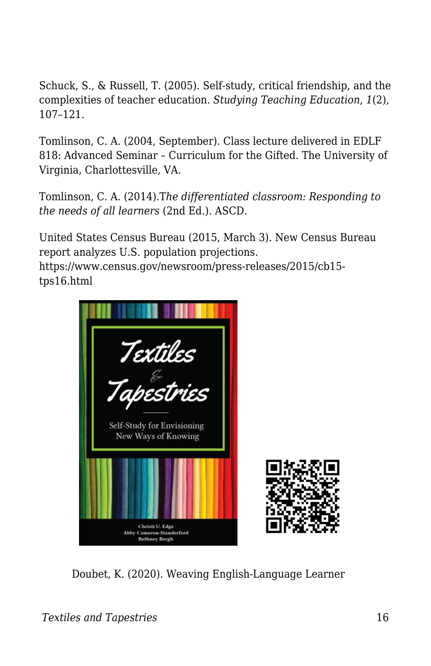Schuck, S., & Russell, T. (2005). Self-study, critical friendship, and the complexities of teacher education. *Studying Teaching Education*, *1*(2), 107–121.

Tomlinson, C. A. (2004, September). Class lecture delivered in EDLF 818: Advanced Seminar – Curriculum for the Gifted. The University of Virginia, Charlottesville, VA.

Tomlinson, C. A. (2014).T*he differentiated classroom: Responding to the needs of all learners* (2nd Ed.). ASCD.

United States Census Bureau (2015, March 3). New Census Bureau report analyzes U.S. population projections. https://www.census.gov/newsroom/press-releases/2015/cb15 tps16.html



Doubet, K. (2020). Weaving English-Language Learner